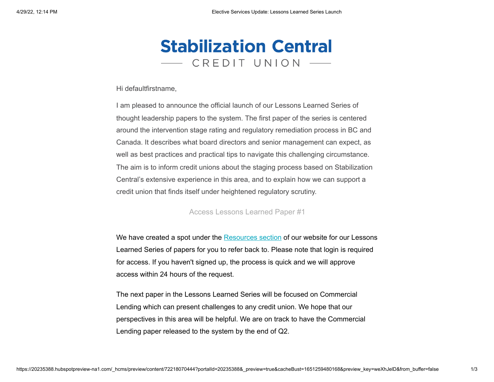

Hi defaultfirstname,

I am pleased to announce the official launch of our Lessons Learned Series of thought leadership papers to the system. The first paper of the series is centered around the intervention stage rating and regulatory remediation process in BC and Canada. It describes what board directors and senior management can expect, as well as best practices and practical tips to navigate this challenging circumstance. The aim is to inform credit unions about the staging process based on Stabilization Central's extensive experience in this area, and to explain how we can support a credit union that finds itself under heightened regulatory scrutiny.

[Access Lessons Learned Paper #1](https://20235388.fs1.hubspotusercontent-na1.net/hubfs/20235388/Lessons%20Learned%20Series-ISR%20and%20Remediation%20Process_vFINAL%20(April%202022).pdf?utm_source=hs_email&utm_medium=email&_hsenc=p2ANqtz-9uWBqT4GBSsIHgfbpv7a-OkcRYW-BUk-4TMmcRzBz8hOdBjMjh9mCQuO_Hv-_Lwk5Ef5io)

We have created a spot under the [Resources section](https://www.stabilizationcentral.com/resources/?utm_source=hs_email&utm_medium=email&_hsenc=p2ANqtz-9uWBqT4GBSsIHgfbpv7a-OkcRYW-BUk-4TMmcRzBz8hOdBjMjh9mCQuO_Hv-_Lwk5Ef5io) of our website for our Lessons Learned Series of papers for you to refer back to. Please note that login is required for access. If you haven't signed up, the process is quick and we will approve access within 24 hours of the request.

The next paper in the Lessons Learned Series will be focused on Commercial Lending which can present challenges to any credit union. We hope that our perspectives in this area will be helpful. We are on track to have the Commercial Lending paper released to the system by the end of Q2.